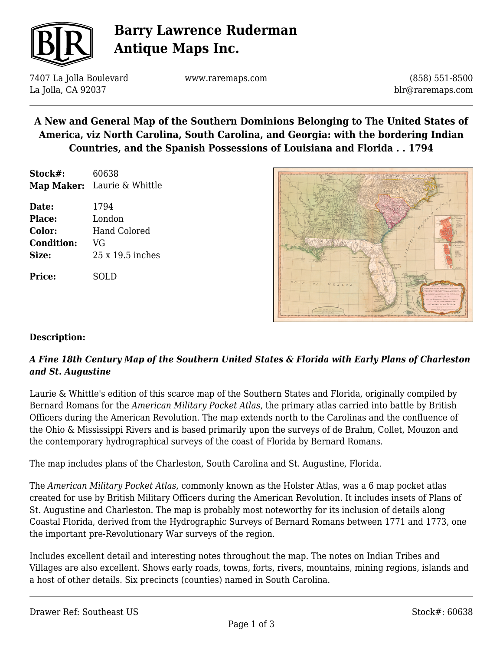

# **Barry Lawrence Ruderman Antique Maps Inc.**

7407 La Jolla Boulevard La Jolla, CA 92037

www.raremaps.com

(858) 551-8500 blr@raremaps.com

## **A New and General Map of the Southern Dominions Belonging to The United States of America, viz North Carolina, South Carolina, and Georgia: with the bordering Indian Countries, and the Spanish Possessions of Louisiana and Florida . . 1794**

| Stock#: | 60638                       |
|---------|-----------------------------|
|         | Map Maker: Laurie & Whittle |

| Date:             | 1794                    |
|-------------------|-------------------------|
| Place:            | London                  |
| Color:            | <b>Hand Colored</b>     |
| <b>Condition:</b> | VG                      |
| Size:             | $25 \times 19.5$ inches |
|                   |                         |

**Price:** SOLD



### **Description:**

### *A Fine 18th Century Map of the Southern United States & Florida with Early Plans of Charleston and St. Augustine*

Laurie & Whittle's edition of this scarce map of the Southern States and Florida, originally compiled by Bernard Romans for the *American Military Pocket Atlas*, the primary atlas carried into battle by British Officers during the American Revolution. The map extends north to the Carolinas and the confluence of the Ohio & Mississippi Rivers and is based primarily upon the surveys of de Brahm, Collet, Mouzon and the contemporary hydrographical surveys of the coast of Florida by Bernard Romans.

The map includes plans of the Charleston, South Carolina and St. Augustine, Florida.

The *American Military Pocket Atlas*, commonly known as the Holster Atlas, was a 6 map pocket atlas created for use by British Military Officers during the American Revolution. It includes insets of Plans of St. Augustine and Charleston. The map is probably most noteworthy for its inclusion of details along Coastal Florida, derived from the Hydrographic Surveys of Bernard Romans between 1771 and 1773, one the important pre-Revolutionary War surveys of the region.

Includes excellent detail and interesting notes throughout the map. The notes on Indian Tribes and Villages are also excellent. Shows early roads, towns, forts, rivers, mountains, mining regions, islands and a host of other details. Six precincts (counties) named in South Carolina.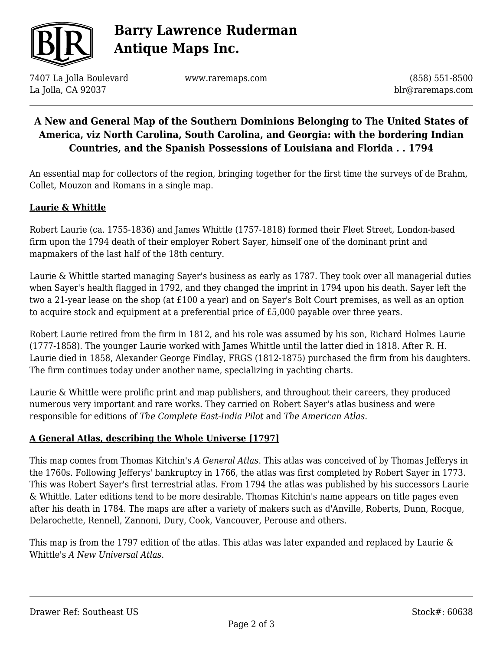

# **Barry Lawrence Ruderman Antique Maps Inc.**

7407 La Jolla Boulevard La Jolla, CA 92037

www.raremaps.com

(858) 551-8500 blr@raremaps.com

## **A New and General Map of the Southern Dominions Belonging to The United States of America, viz North Carolina, South Carolina, and Georgia: with the bordering Indian Countries, and the Spanish Possessions of Louisiana and Florida . . 1794**

An essential map for collectors of the region, bringing together for the first time the surveys of de Brahm, Collet, Mouzon and Romans in a single map.

#### **Laurie & Whittle**

Robert Laurie (ca. 1755-1836) and James Whittle (1757-1818) formed their Fleet Street, London-based firm upon the 1794 death of their employer Robert Sayer, himself one of the dominant print and mapmakers of the last half of the 18th century.

Laurie & Whittle started managing Sayer's business as early as 1787. They took over all managerial duties when Sayer's health flagged in 1792, and they changed the imprint in 1794 upon his death. Sayer left the two a 21-year lease on the shop (at £100 a year) and on Sayer's Bolt Court premises, as well as an option to acquire stock and equipment at a preferential price of £5,000 payable over three years.

Robert Laurie retired from the firm in 1812, and his role was assumed by his son, Richard Holmes Laurie (1777-1858). The younger Laurie worked with James Whittle until the latter died in 1818. After R. H. Laurie died in 1858, Alexander George Findlay, FRGS (1812-1875) purchased the firm from his daughters. The firm continues today under another name, specializing in yachting charts.

Laurie & Whittle were prolific print and map publishers, and throughout their careers, they produced numerous very important and rare works. They carried on Robert Sayer's atlas business and were responsible for editions of *The Complete East-India Pilot* and *The American Atlas*.

#### **A General Atlas, describing the Whole Universe [1797]**

This map comes from Thomas Kitchin's *A General Atlas*. This atlas was conceived of by Thomas Jefferys in the 1760s. Following Jefferys' bankruptcy in 1766, the atlas was first completed by Robert Sayer in 1773. This was Robert Sayer's first terrestrial atlas. From 1794 the atlas was published by his successors Laurie & Whittle. Later editions tend to be more desirable. Thomas Kitchin's name appears on title pages even after his death in 1784. The maps are after a variety of makers such as d'Anville, Roberts, Dunn, Rocque, Delarochette, Rennell, Zannoni, Dury, Cook, Vancouver, Perouse and others.

This map is from the 1797 edition of the atlas. This atlas was later expanded and replaced by Laurie & Whittle's *A New Universal Atlas*.